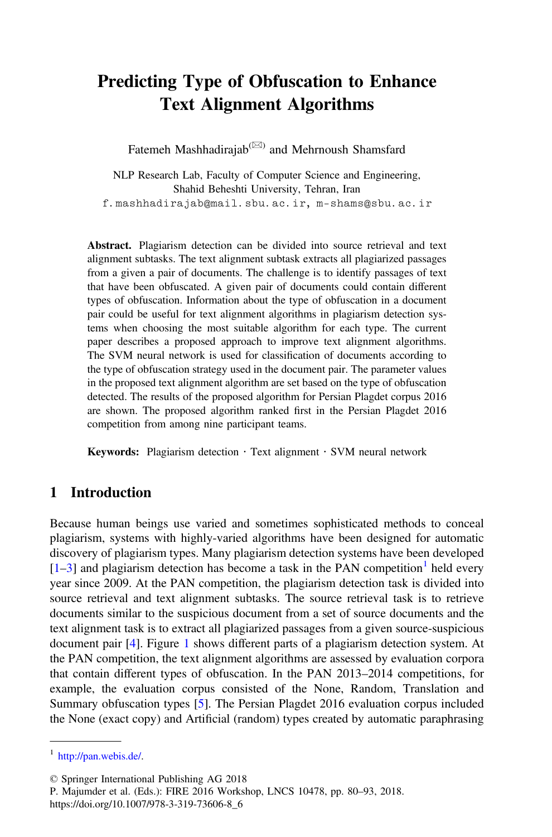# Predicting Type of Obfuscation to Enhance Text Alignment Algorithms

Fatemeh Mashhadirajab<sup>( $\boxtimes$ )</sup> and Mehrnoush Shamsfard

NLP Research Lab, Faculty of Computer Science and Engineering, Shahid Beheshti University, Tehran, Iran f.mashhadirajab@mail.sbu.ac.ir, m-shams@sbu.ac.ir

Abstract. Plagiarism detection can be divided into source retrieval and text alignment subtasks. The text alignment subtask extracts all plagiarized passages from a given a pair of documents. The challenge is to identify passages of text that have been obfuscated. A given pair of documents could contain different types of obfuscation. Information about the type of obfuscation in a document pair could be useful for text alignment algorithms in plagiarism detection systems when choosing the most suitable algorithm for each type. The current paper describes a proposed approach to improve text alignment algorithms. The SVM neural network is used for classification of documents according to the type of obfuscation strategy used in the document pair. The parameter values in the proposed text alignment algorithm are set based on the type of obfuscation detected. The results of the proposed algorithm for Persian Plagdet corpus 2016 are shown. The proposed algorithm ranked first in the Persian Plagdet 2016 competition from among nine participant teams.

Keywords: Plagiarism detection  $\cdot$  Text alignment  $\cdot$  SVM neural network

## 1 Introduction

Because human beings use varied and sometimes sophisticated methods to conceal plagiarism, systems with highly-varied algorithms have been designed for automatic discovery of plagiarism types. Many plagiarism detection systems have been developed  $[1–3]$  $[1–3]$  $[1–3]$  $[1–3]$  and plagiarism detection has become a task in the PAN competition<sup>1</sup> held every year since 2009. At the PAN competition, the plagiarism detection task is divided into source retrieval and text alignment subtasks. The source retrieval task is to retrieve documents similar to the suspicious document from a set of source documents and the text alignment task is to extract all plagiarized passages from a given source-suspicious document pair [\[4](#page-12-0)]. Figure [1](#page-1-0) shows different parts of a plagiarism detection system. At the PAN competition, the text alignment algorithms are assessed by evaluation corpora that contain different types of obfuscation. In the PAN 2013–2014 competitions, for example, the evaluation corpus consisted of the None, Random, Translation and Summary obfuscation types [[5\]](#page-12-0). The Persian Plagdet 2016 evaluation corpus included the None (exact copy) and Artificial (random) types created by automatic paraphrasing

<sup>1</sup> <http://pan.webis.de/>.

<sup>©</sup> Springer International Publishing AG 2018

P. Majumder et al. (Eds.): FIRE 2016 Workshop, LNCS 10478, pp. 80–93, 2018.

https://doi.org/10.1007/978-3-319-73606-8\_6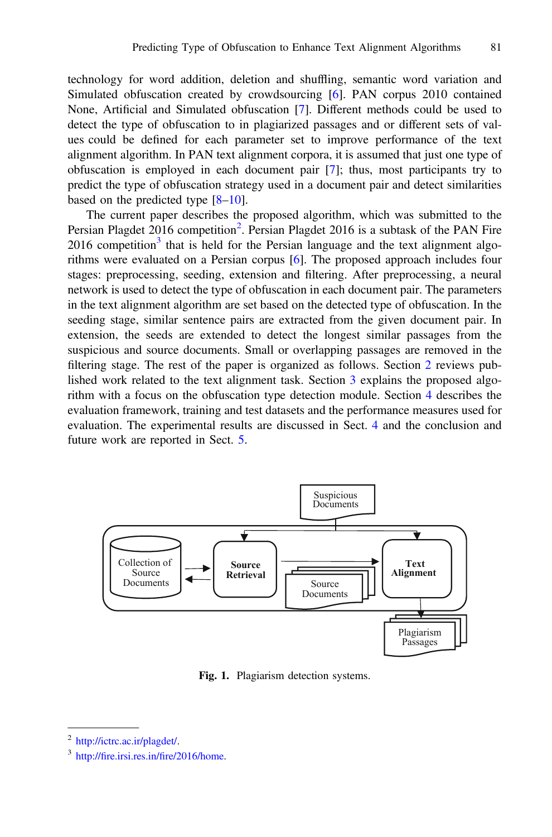<span id="page-1-0"></span>technology for word addition, deletion and shuffling, semantic word variation and Simulated obfuscation created by crowdsourcing [[6\]](#page-12-0). PAN corpus 2010 contained None, Artificial and Simulated obfuscation [[7\]](#page-12-0). Different methods could be used to detect the type of obfuscation to in plagiarized passages and or different sets of values could be defined for each parameter set to improve performance of the text alignment algorithm. In PAN text alignment corpora, it is assumed that just one type of obfuscation is employed in each document pair [\[7](#page-12-0)]; thus, most participants try to predict the type of obfuscation strategy used in a document pair and detect similarities based on the predicted type [\[8](#page-12-0)–[10](#page-12-0)].

The current paper describes the proposed algorithm, which was submitted to the Persian Plagdet 2016 competition<sup>2</sup>. Persian Plagdet 2016 is a subtask of the PAN Fire  $2016$  competition<sup>3</sup> that is held for the Persian language and the text alignment algorithms were evaluated on a Persian corpus [[6\]](#page-12-0). The proposed approach includes four stages: preprocessing, seeding, extension and filtering. After preprocessing, a neural network is used to detect the type of obfuscation in each document pair. The parameters in the text alignment algorithm are set based on the detected type of obfuscation. In the seeding stage, similar sentence pairs are extracted from the given document pair. In extension, the seeds are extended to detect the longest similar passages from the suspicious and source documents. Small or overlapping passages are removed in the filtering stage. The rest of the paper is organized as follows. Section [2](#page-2-0) reviews published work related to the text alignment task. Section [3](#page-4-0) explains the proposed algorithm with a focus on the obfuscation type detection module. Section [4](#page-8-0) describes the evaluation framework, training and test datasets and the performance measures used for evaluation. The experimental results are discussed in Sect. [4](#page-8-0) and the conclusion and future work are reported in Sect. [5.](#page-11-0)



Fig. 1. Plagiarism detection systems.

<sup>2</sup> <http://ictrc.ac.ir/plagdet/>.

<sup>3</sup> http://fire.irsi.res.in/fi[re/2016/home](http://fire.irsi.res.in/fire/2016/home).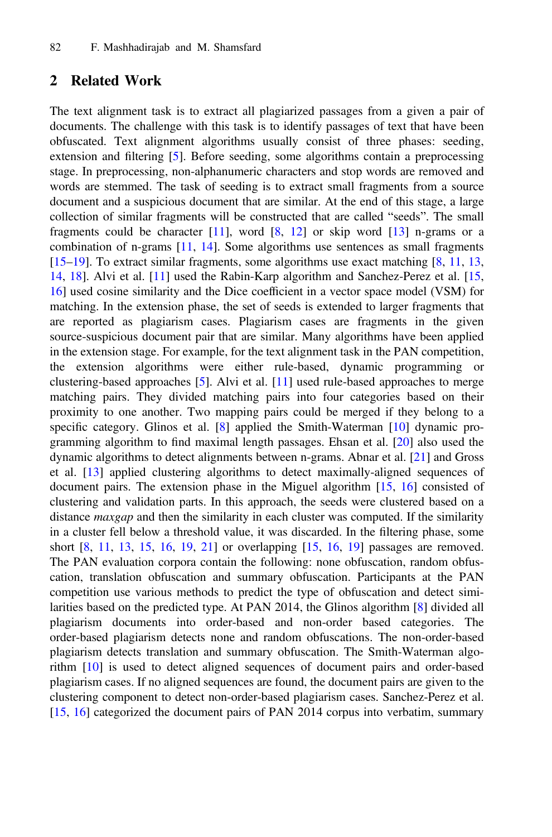#### <span id="page-2-0"></span>2 Related Work

The text alignment task is to extract all plagiarized passages from a given a pair of documents. The challenge with this task is to identify passages of text that have been obfuscated. Text alignment algorithms usually consist of three phases: seeding, extension and filtering [[5\]](#page-12-0). Before seeding, some algorithms contain a preprocessing stage. In preprocessing, non-alphanumeric characters and stop words are removed and words are stemmed. The task of seeding is to extract small fragments from a source document and a suspicious document that are similar. At the end of this stage, a large collection of similar fragments will be constructed that are called "seeds". The small fragments could be character  $[11]$  $[11]$  $[11]$ , word  $[8, 12]$  $[8, 12]$  $[8, 12]$  $[8, 12]$  $[8, 12]$  or skip word  $[13]$  $[13]$  n-grams or a combination of n-grams [[11,](#page-12-0) [14\]](#page-12-0). Some algorithms use sentences as small fragments [[15](#page-12-0)–[19\]](#page-13-0). To extract similar fragments, some algorithms use exact matching [\[8](#page-12-0), [11,](#page-12-0) [13](#page-12-0), [14,](#page-12-0) [18](#page-13-0)]. Alvi et al. [\[11](#page-12-0)] used the Rabin-Karp algorithm and Sanchez-Perez et al. [\[15](#page-12-0), [16\]](#page-12-0) used cosine similarity and the Dice coefficient in a vector space model (VSM) for matching. In the extension phase, the set of seeds is extended to larger fragments that are reported as plagiarism cases. Plagiarism cases are fragments in the given source-suspicious document pair that are similar. Many algorithms have been applied in the extension stage. For example, for the text alignment task in the PAN competition, the extension algorithms were either rule-based, dynamic programming or clustering-based approaches [[5\]](#page-12-0). Alvi et al. [[11\]](#page-12-0) used rule-based approaches to merge matching pairs. They divided matching pairs into four categories based on their proximity to one another. Two mapping pairs could be merged if they belong to a specific category. Glinos et al. [[8\]](#page-12-0) applied the Smith-Waterman [[10\]](#page-12-0) dynamic programming algorithm to find maximal length passages. Ehsan et al. [\[20](#page-13-0)] also used the dynamic algorithms to detect alignments between n-grams. Abnar et al. [[21\]](#page-13-0) and Gross et al. [\[13](#page-12-0)] applied clustering algorithms to detect maximally-aligned sequences of document pairs. The extension phase in the Miguel algorithm [[15,](#page-12-0) [16](#page-12-0)] consisted of clustering and validation parts. In this approach, the seeds were clustered based on a distance *maxgap* and then the similarity in each cluster was computed. If the similarity in a cluster fell below a threshold value, it was discarded. In the filtering phase, some short [[8,](#page-12-0) [11](#page-12-0), [13](#page-12-0), [15,](#page-12-0) [16](#page-12-0), [19,](#page-13-0) [21](#page-13-0)] or overlapping [[15,](#page-12-0) [16](#page-12-0), [19\]](#page-13-0) passages are removed. The PAN evaluation corpora contain the following: none obfuscation, random obfuscation, translation obfuscation and summary obfuscation. Participants at the PAN competition use various methods to predict the type of obfuscation and detect similarities based on the predicted type. At PAN 2014, the Glinos algorithm [\[8](#page-12-0)] divided all plagiarism documents into order-based and non-order based categories. The order-based plagiarism detects none and random obfuscations. The non-order-based plagiarism detects translation and summary obfuscation. The Smith-Waterman algorithm [[10\]](#page-12-0) is used to detect aligned sequences of document pairs and order-based plagiarism cases. If no aligned sequences are found, the document pairs are given to the clustering component to detect non-order-based plagiarism cases. Sanchez-Perez et al. [[15,](#page-12-0) [16](#page-12-0)] categorized the document pairs of PAN 2014 corpus into verbatim, summary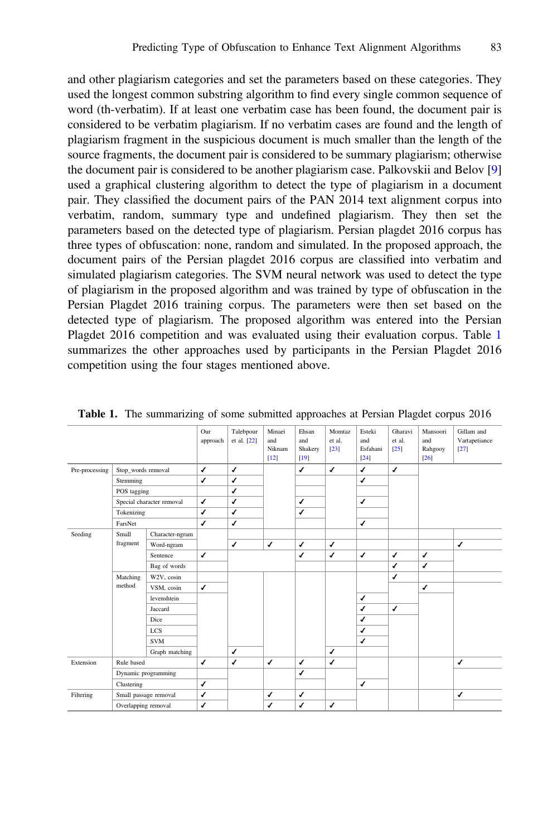and other plagiarism categories and set the parameters based on these categories. They used the longest common substring algorithm to find every single common sequence of word (th-verbatim). If at least one verbatim case has been found, the document pair is considered to be verbatim plagiarism. If no verbatim cases are found and the length of plagiarism fragment in the suspicious document is much smaller than the length of the source fragments, the document pair is considered to be summary plagiarism; otherwise the document pair is considered to be another plagiarism case. Palkovskii and Belov [\[9](#page-12-0)] used a graphical clustering algorithm to detect the type of plagiarism in a document pair. They classified the document pairs of the PAN 2014 text alignment corpus into verbatim, random, summary type and undefined plagiarism. They then set the parameters based on the detected type of plagiarism. Persian plagdet 2016 corpus has three types of obfuscation: none, random and simulated. In the proposed approach, the document pairs of the Persian plagdet 2016 corpus are classified into verbatim and simulated plagiarism categories. The SVM neural network was used to detect the type of plagiarism in the proposed algorithm and was trained by type of obfuscation in the Persian Plagdet 2016 training corpus. The parameters were then set based on the detected type of plagiarism. The proposed algorithm was entered into the Persian Plagdet 2016 competition and was evaluated using their evaluation corpus. Table 1 summarizes the other approaches used by participants in the Persian Plagdet 2016 competition using the four stages mentioned above.

|                |                       |                           | Our          | Talebpour    | Minaei                  | Ehsan                    | Momtaz           | Esteki                    | Gharavi          | Mansoori               | Gillam and              |
|----------------|-----------------------|---------------------------|--------------|--------------|-------------------------|--------------------------|------------------|---------------------------|------------------|------------------------|-------------------------|
|                |                       |                           | approach     | et al. [22]  | and<br>Niknam<br>$[12]$ | and<br>Shakery<br>$[19]$ | et al.<br>$[23]$ | and<br>Esfahani<br>$[24]$ | et al.<br>$[25]$ | and<br>Rahgooy<br>[26] | Vartapetiance<br>$[27]$ |
| Pre-processing |                       | Stop words removal        |              | $\checkmark$ |                         | ✓                        | $\checkmark$     | $\checkmark$              | $\checkmark$     |                        |                         |
|                | Stemming              |                           |              | $\checkmark$ |                         |                          |                  | ✓                         |                  |                        |                         |
|                | POS tagging           |                           |              | $\checkmark$ |                         |                          |                  |                           |                  |                        |                         |
|                |                       | Special character removal | $\checkmark$ | $\checkmark$ |                         | ✔                        |                  | ✓                         |                  |                        |                         |
|                | Tokenizing            |                           | $\checkmark$ | $\checkmark$ |                         | ✔                        |                  |                           |                  |                        |                         |
|                | FarsNet               |                           | $\checkmark$ | $\checkmark$ |                         |                          |                  | $\checkmark$              |                  |                        |                         |
| Seeding        | Small                 | Character-ngram           |              |              |                         |                          |                  |                           |                  |                        |                         |
|                | fragment              | Word-ngram                |              | $\checkmark$ | $\checkmark$            | ✔                        | $\checkmark$     |                           |                  |                        | $\checkmark$            |
|                |                       | Sentence                  | $\checkmark$ |              |                         | ✔                        | $\checkmark$     | $\checkmark$              | ✓                | ✓                      |                         |
|                |                       | Bag of words              |              |              |                         |                          |                  |                           | $\checkmark$     | $\checkmark$           |                         |
|                | Matching              | W2V, cosin                |              |              |                         |                          |                  |                           | ✓                |                        |                         |
|                | method                | VSM, cosin                | $\checkmark$ |              |                         |                          |                  |                           |                  | ✓                      |                         |
|                |                       | levenshtein               |              |              |                         |                          |                  | ✓                         |                  |                        |                         |
|                |                       | Jaccard                   |              |              |                         |                          |                  | $\checkmark$              | $\checkmark$     |                        |                         |
|                |                       | Dice                      |              |              |                         |                          |                  | ✓                         |                  |                        |                         |
|                |                       | <b>LCS</b>                |              |              |                         |                          |                  | ✓                         |                  |                        |                         |
|                |                       | <b>SVM</b>                |              |              |                         |                          |                  | ✓                         |                  |                        |                         |
|                |                       | Graph matching            |              | $\checkmark$ |                         |                          | $\checkmark$     |                           |                  |                        |                         |
| Extension      | Rule based            |                           | $\checkmark$ | $\checkmark$ | $\checkmark$            | ✔                        | $\checkmark$     |                           |                  |                        | $\checkmark$            |
|                | Dynamic programming   |                           |              |              |                         | ✔                        |                  |                           |                  |                        |                         |
|                | Clustering            |                           | $\checkmark$ |              |                         |                          |                  | ✓                         |                  |                        |                         |
| Filtering      | Small passage removal |                           | $\checkmark$ |              | $\checkmark$            | ✔                        |                  |                           |                  |                        | $\checkmark$            |
|                | Overlapping removal   |                           | J            |              | ✔                       | J                        | $\checkmark$     |                           |                  |                        |                         |

Table 1. The summarizing of some submitted approaches at Persian Plagdet corpus 2016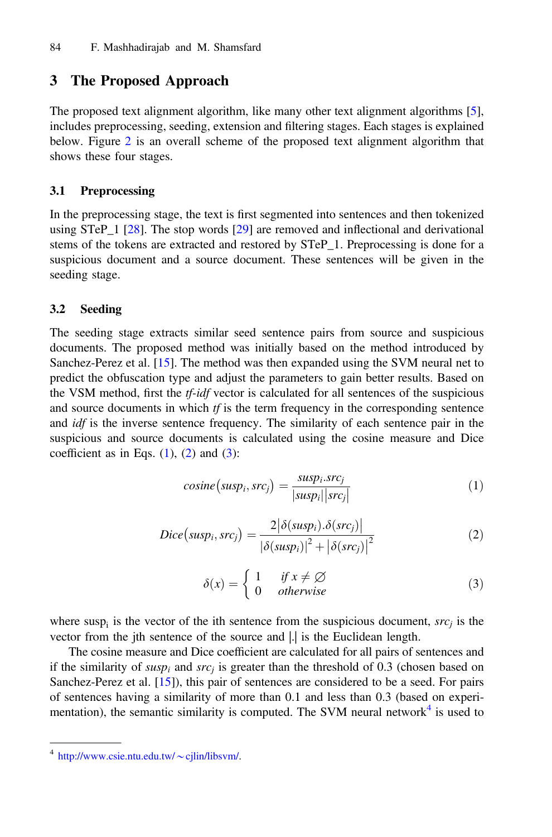## <span id="page-4-0"></span>3 The Proposed Approach

The proposed text alignment algorithm, like many other text alignment algorithms [[5\]](#page-12-0), includes preprocessing, seeding, extension and filtering stages. Each stages is explained below. Figure [2](#page-6-0) is an overall scheme of the proposed text alignment algorithm that shows these four stages.

#### 3.1 Preprocessing

In the preprocessing stage, the text is first segmented into sentences and then tokenized using STeP 1 [[28\]](#page-13-0). The stop words  $[29]$  $[29]$  are removed and inflectional and derivational stems of the tokens are extracted and restored by STeP\_1. Preprocessing is done for a suspicious document and a source document. These sentences will be given in the seeding stage.

#### 3.2 Seeding

The seeding stage extracts similar seed sentence pairs from source and suspicious documents. The proposed method was initially based on the method introduced by Sanchez-Perez et al. [[15](#page-12-0)]. The method was then expanded using the SVM neural net to predict the obfuscation type and adjust the parameters to gain better results. Based on the VSM method, first the *tf-idf* vector is calculated for all sentences of the suspicious and source documents in which  $tf$  is the term frequency in the corresponding sentence and *idf* is the inverse sentence frequency. The similarity of each sentence pair in the suspicious and source documents is calculated using the cosine measure and Dice coefficient as in Eqs.  $(1)$ ,  $(2)$  and  $(3)$ :

$$
cosine(susp_i, src_j) = \frac{susp_i, src_j}{|susp_i| |src_j|}
$$
\n(1)

$$
Dice(susp_i, src_j) = \frac{2|\delta(susp_i) . \delta(src_j)|}{|\delta(susp_i)|^2 + |\delta(src_j)|^2}
$$
 (2)

$$
\delta(x) = \begin{cases} 1 & \text{if } x \neq \emptyset \\ 0 & \text{otherwise} \end{cases}
$$
 (3)

where susp<sub>i</sub> is the vector of the ith sentence from the suspicious document,  $src<sub>i</sub>$  is the vector from the jth sentence of the source and |.| is the Euclidean length.

The cosine measure and Dice coefficient are calculated for all pairs of sentences and if the similarity of *susp<sub>i</sub>* and *src<sub>i</sub>* is greater than the threshold of 0.3 (chosen based on Sanchez-Perez et al. [\[15](#page-12-0)]), this pair of sentences are considered to be a seed. For pairs of sentences having a similarity of more than 0.1 and less than 0.3 (based on experimentation), the semantic similarity is computed. The SVM neural network $4$  is used to

 $^4$  [http://www.csie.ntu.edu.tw/](http://www.csie.ntu.edu.tw/%7ecjlin/libsvm/) $\sim$ cjlin/libsvm/.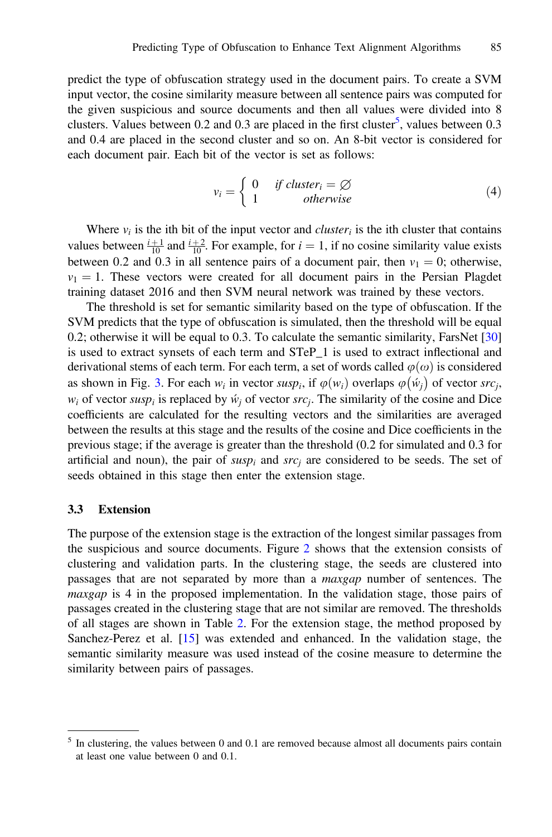predict the type of obfuscation strategy used in the document pairs. To create a SVM input vector, the cosine similarity measure between all sentence pairs was computed for the given suspicious and source documents and then all values were divided into 8 clusters. Values between 0.2 and 0.3 are placed in the first cluster<sup>5</sup>, values between 0.3 and 0.4 are placed in the second cluster and so on. An 8-bit vector is considered for each document pair. Each bit of the vector is set as follows:

$$
v_i = \begin{cases} 0 & \text{if cluster}_i = \varnothing \\ 1 & \text{otherwise} \end{cases}
$$
 (4)

Where  $v_i$  is the ith bit of the input vector and *cluster<sub>i</sub>* is the ith cluster that contains values between  $\frac{i+1}{10}$  and  $\frac{i+2}{10}$ . For example, for  $i = 1$ , if no cosine similarity value exists<br>between 0.2 and 0.3 in all septence pairs of a document pair, then  $y_i = 0$ ; otherwise between 0.2 and 0.3 in all sentence pairs of a document pair, then  $v_1 = 0$ ; otherwise,  $v_1 = 1$ . These vectors were created for all document pairs in the Persian Plagdet training dataset 2016 and then SVM neural network was trained by these vectors.

The threshold is set for semantic similarity based on the type of obfuscation. If the SVM predicts that the type of obfuscation is simulated, then the threshold will be equal 0.2; otherwise it will be equal to 0.3. To calculate the semantic similarity, FarsNet [\[30](#page-13-0)] is used to extract synsets of each term and STeP\_1 is used to extract inflectional and derivational stems of each term. For each term, a set of words called  $\varphi(\omega)$  is considered as shown in Fig. [3](#page-7-0). For each  $w_i$  in vector  $susp_i$ , if  $\varphi(w_i)$  overlaps  $\varphi(\hat{w}_j)$  of vector  $src_j$ ,  $w_i$  of vector such is replaced by  $\hat{w}_i$  of vector src. The similarity of the cosine and Disc  $w_i$  of vector susp<sub>i</sub> is replaced by  $\dot{w}_i$  of vector src<sub>i</sub>. The similarity of the cosine and Dice coefficients are calculated for the resulting vectors and the similarities are averaged between the results at this stage and the results of the cosine and Dice coefficients in the previous stage; if the average is greater than the threshold (0.2 for simulated and 0.3 for artificial and noun), the pair of susp<sub>i</sub> and src<sub>i</sub> are considered to be seeds. The set of seeds obtained in this stage then enter the extension stage.

#### 3.3 Extension

The purpose of the extension stage is the extraction of the longest similar passages from the suspicious and source documents. Figure [2](#page-6-0) shows that the extension consists of clustering and validation parts. In the clustering stage, the seeds are clustered into passages that are not separated by more than a maxgap number of sentences. The maxgap is 4 in the proposed implementation. In the validation stage, those pairs of passages created in the clustering stage that are not similar are removed. The thresholds of all stages are shown in Table [2.](#page-7-0) For the extension stage, the method proposed by Sanchez-Perez et al. [\[15](#page-12-0)] was extended and enhanced. In the validation stage, the semantic similarity measure was used instead of the cosine measure to determine the similarity between pairs of passages.

<sup>&</sup>lt;sup>5</sup> In clustering, the values between 0 and 0.1 are removed because almost all documents pairs contain at least one value between 0 and 0.1.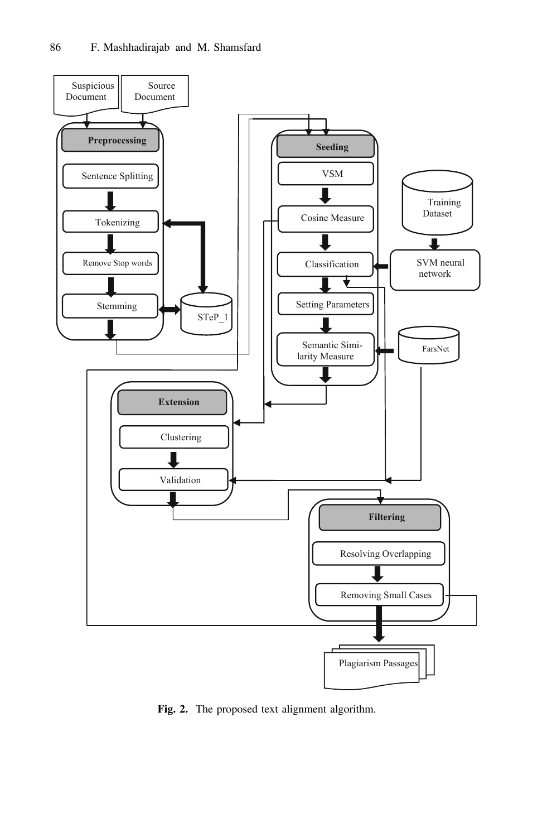<span id="page-6-0"></span>

Fig. 2. The proposed text alignment algorithm.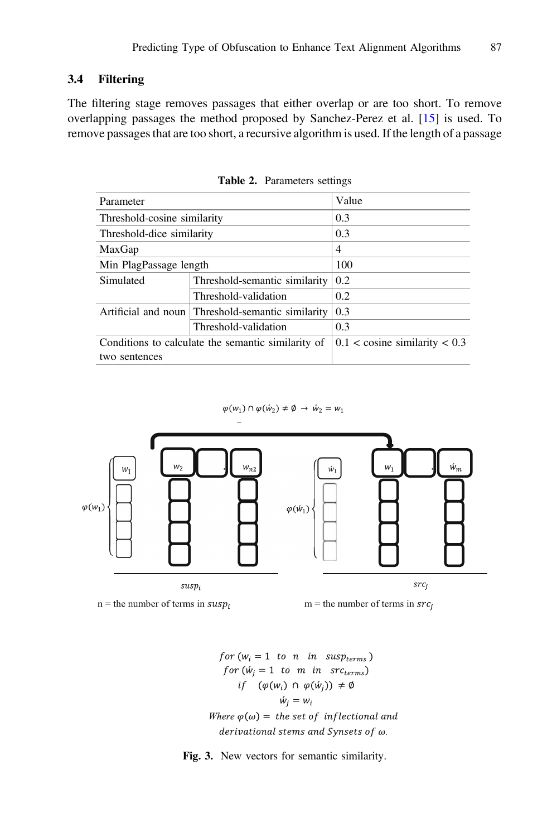### <span id="page-7-0"></span>3.4 Filtering

The filtering stage removes passages that either overlap or are too short. To remove overlapping passages the method proposed by Sanchez-Perez et al. [[15\]](#page-12-0) is used. To remove passages that are too short, a recursive algorithm is used. If the length of a passage

| Parameter                   |                                                    | Value                             |
|-----------------------------|----------------------------------------------------|-----------------------------------|
| Threshold-cosine similarity |                                                    | 0.3                               |
| Threshold-dice similarity   | 0.3                                                |                                   |
| MaxGap                      |                                                    | 4                                 |
| Min PlagPassage length      |                                                    | 100                               |
| Simulated                   | Threshold-semantic similarity                      | 0.2                               |
|                             | Threshold-validation                               | 0.2                               |
| Artificial and noun         | Threshold-semantic similarity                      | 0.3                               |
|                             | Threshold-validation                               | 0.3                               |
|                             | Conditions to calculate the semantic similarity of | $0.1 <$ cosine similarity $< 0.3$ |
| two sentences               |                                                    |                                   |

Table 2. Parameters settings

 $\varphi(w_1) \cap \varphi(w_2) \neq \emptyset \rightarrow \hat{w}_2 = w_1$ 



 $n =$  the number of terms in  $susp_i$ 



for  $(w_i = 1$  to n in susp<sub>terms</sub>) for  $(\dot{w}_i = 1$  to m in src<sub>terms</sub>) *if*  $(\varphi(w_i) \cap \varphi(w_j)) \neq \emptyset$  $\acute{w}_i = w_i$ Where  $\varphi(\omega) =$  the set of inflectional and derivational stems and Synsets of  $\omega$ .

Fig. 3. New vectors for semantic similarity.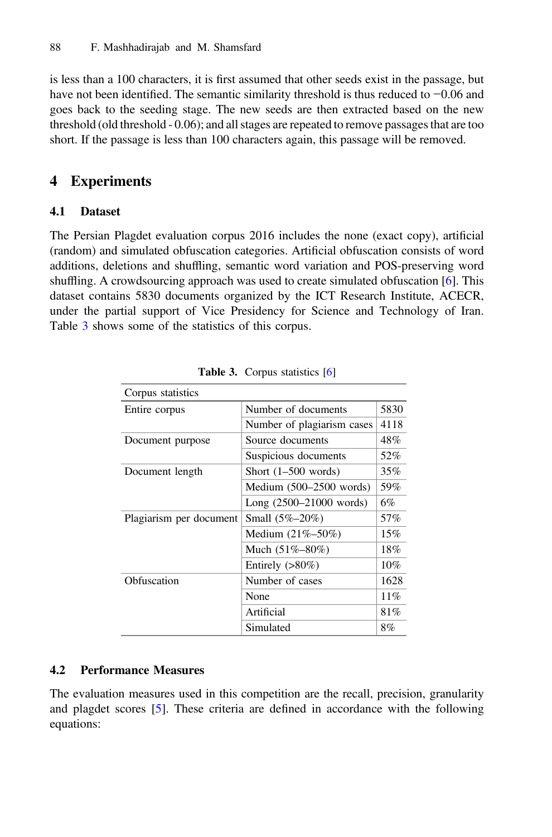<span id="page-8-0"></span>is less than a 100 characters, it is first assumed that other seeds exist in the passage, but have not been identified. The semantic similarity threshold is thus reduced to −0.06 and goes back to the seeding stage. The new seeds are then extracted based on the new threshold (old threshold - 0.06); and all stages are repeated to remove passages that are too short. If the passage is less than 100 characters again, this passage will be removed.

# 4 Experiments

### 4.1 Dataset

The Persian Plagdet evaluation corpus 2016 includes the none (exact copy), artificial (random) and simulated obfuscation categories. Artificial obfuscation consists of word additions, deletions and shuffling, semantic word variation and POS-preserving word shuffling. A crowdsourcing approach was used to create simulated obfuscation [[6\]](#page-12-0). This dataset contains 5830 documents organized by the ICT Research Institute, ACECR, under the partial support of Vice Presidency for Science and Technology of Iran. Table 3 shows some of the statistics of this corpus.

| Corpus statistics       |                             |        |
|-------------------------|-----------------------------|--------|
| Entire corpus           | Number of documents         | 5830   |
|                         | Number of plagiarism cases  | 4118   |
| Document purpose        | Source documents            | 48%    |
|                         | Suspicious documents        | 52%    |
| Document length         | Short $(1-500$ words)       | 35%    |
|                         | Medium $(500-2500$ words)   | 59%    |
|                         | Long $(2500 - 21000$ words) | 6%     |
| Plagiarism per document | Small $(5\% - 20\%)$        | 57%    |
|                         | Medium $(21\% - 50\%)$      | 15%    |
|                         | Much $(51\% - 80\%)$        | 18%    |
|                         | Entirely $(>80\%)$          | $10\%$ |
| Obfuscation             | Number of cases             | 1628   |
|                         | None                        | 11%    |
|                         | Artificial                  | 81%    |
|                         | Simulated                   | 8%     |

Table 3. Corpus statistics [\[6\]](#page-12-0)

## 4.2 Performance Measures

The evaluation measures used in this competition are the recall, precision, granularity and plagdet scores [[5\]](#page-12-0). These criteria are defined in accordance with the following equations: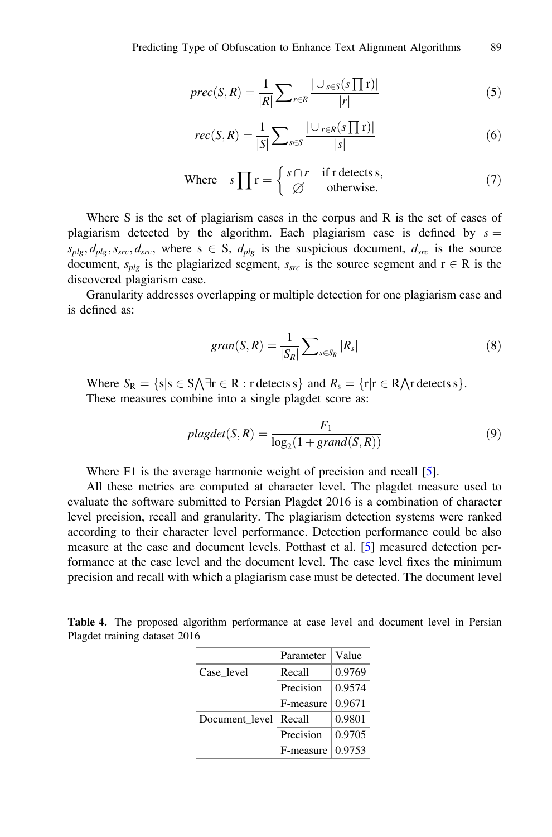<span id="page-9-0"></span>
$$
prec(S,R) = \frac{1}{|R|} \sum_{r \in R} \frac{|\cup_{s \in S} (s \prod r)|}{|r|} \tag{5}
$$

$$
rec(S,R) = \frac{1}{|S|} \sum_{s \in S} \frac{|\cup_{r \in R} (s \prod r)|}{|s|}
$$
(6)

Where 
$$
s \prod r = \begin{cases} s \cap r & \text{if } r \text{ detects } s, \\ \varnothing & \text{otherwise.} \end{cases}
$$
 (7)

Where S is the set of plagiarism cases in the corpus and R is the set of cases of plagiarism detected by the algorithm. Each plagiarism case is defined by  $s =$  $s_{plg}, d_{plg}, s_{src}, d_{src}$ , where  $s \in S$ ,  $d_{plg}$  is the suspicious document,  $d_{src}$  is the source document,  $s_{plg}$  is the plagiarized segment,  $s_{src}$  is the source segment and  $r \in R$  is the discovered plagiarism case.

Granularity addresses overlapping or multiple detection for one plagiarism case and is defined as:

$$
gran(S, R) = \frac{1}{|S_R|} \sum_{s \in S_R} |R_s|
$$
\n(8)

Where  $S_R = \{s | s \in S \setminus \exists r \in R : r \text{ detects } s\}$  and  $R_s = \{r | r \in R \setminus r \text{ detects } s\}.$ <br>These measures combine into a single plagdet score as: These measures combine into a single plagdet score as:

$$
plagdet(S, R) = \frac{F_1}{\log_2(1 + grand(S, R))}
$$
\n(9)

Where F1 is the average harmonic weight of precision and recall [\[5](#page-12-0)].

All these metrics are computed at character level. The plagdet measure used to evaluate the software submitted to Persian Plagdet 2016 is a combination of character level precision, recall and granularity. The plagiarism detection systems were ranked according to their character level performance. Detection performance could be also measure at the case and document levels. Potthast et al. [\[5](#page-12-0)] measured detection performance at the case level and the document level. The case level fixes the minimum precision and recall with which a plagiarism case must be detected. The document level

Table 4. The proposed algorithm performance at case level and document level in Persian Plagdet training dataset 2016

|                | Parameter | Value  |
|----------------|-----------|--------|
| Case level     | Recall    | 0.9769 |
|                | Precision | 0.9574 |
|                | F-measure | 0.9671 |
| Document level | Recall    | 0.9801 |
|                | Precision | 0.9705 |
|                | F-measure | 0.9753 |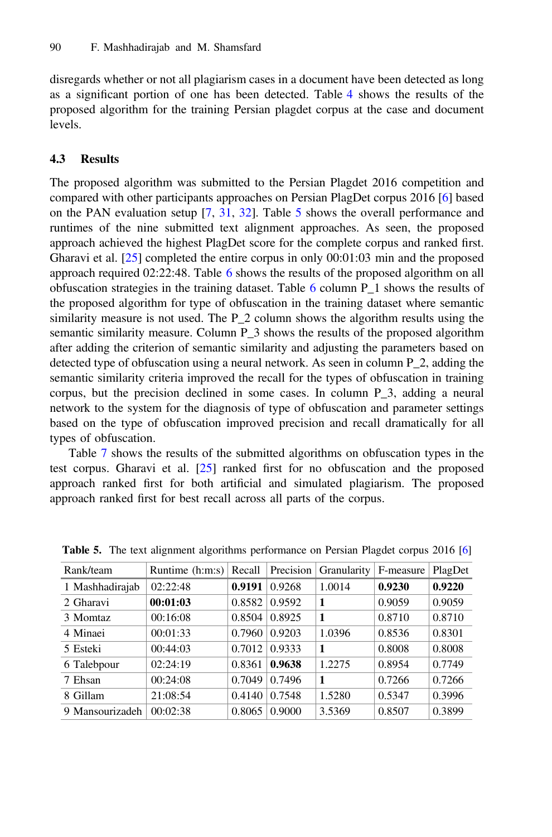disregards whether or not all plagiarism cases in a document have been detected as long as a significant portion of one has been detected. Table [4](#page-9-0) shows the results of the proposed algorithm for the training Persian plagdet corpus at the case and document levels.

#### 4.3 Results

The proposed algorithm was submitted to the Persian Plagdet 2016 competition and compared with other participants approaches on Persian PlagDet corpus 2016 [\[6](#page-12-0)] based on the PAN evaluation setup [[7,](#page-12-0) [31,](#page-13-0) [32](#page-13-0)]. Table 5 shows the overall performance and runtimes of the nine submitted text alignment approaches. As seen, the proposed approach achieved the highest PlagDet score for the complete corpus and ranked first. Gharavi et al. [[25\]](#page-13-0) completed the entire corpus in only 00:01:03 min and the proposed approach required 02:22:48. Table [6](#page-11-0) shows the results of the proposed algorithm on all obfuscation strategies in the training dataset. Table  $6$  column P 1 shows the results of the proposed algorithm for type of obfuscation in the training dataset where semantic similarity measure is not used. The P\_2 column shows the algorithm results using the semantic similarity measure. Column P\_3 shows the results of the proposed algorithm after adding the criterion of semantic similarity and adjusting the parameters based on detected type of obfuscation using a neural network. As seen in column P\_2, adding the semantic similarity criteria improved the recall for the types of obfuscation in training corpus, but the precision declined in some cases. In column P\_3, adding a neural network to the system for the diagnosis of type of obfuscation and parameter settings based on the type of obfuscation improved precision and recall dramatically for all types of obfuscation.

Table [7](#page-11-0) shows the results of the submitted algorithms on obfuscation types in the test corpus. Gharavi et al. [\[25](#page-13-0)] ranked first for no obfuscation and the proposed approach ranked first for both artificial and simulated plagiarism. The proposed approach ranked first for best recall across all parts of the corpus.

| Rank/team       | Runtime (h:m:s) | Recall | Precision | Granularity | F-measure | PlagDet |
|-----------------|-----------------|--------|-----------|-------------|-----------|---------|
| 1 Mashhadirajab | 02:22:48        | 0.9191 | 0.9268    | 1.0014      | 0.9230    | 0.9220  |
| 2 Gharavi       | 00:01:03        | 0.8582 | 0.9592    | 1           | 0.9059    | 0.9059  |
| 3 Momtaz        | 00:16:08        | 0.8504 | 0.8925    | 1           | 0.8710    | 0.8710  |
| 4 Minaei        | 00:01:33        | 0.7960 | 0.9203    | 1.0396      | 0.8536    | 0.8301  |
| 5 Esteki        | 00:44:03        | 0.7012 | 0.9333    | 1           | 0.8008    | 0.8008  |
| 6 Talebpour     | 02:24:19        | 0.8361 | 0.9638    | 1.2275      | 0.8954    | 0.7749  |
| 7 Ehsan         | 00:24:08        | 0.7049 | 0.7496    | 1           | 0.7266    | 0.7266  |
| 8 Gillam        | 21:08:54        | 0.4140 | 0.7548    | 1.5280      | 0.5347    | 0.3996  |
| 9 Mansourizadeh | 00:02:38        | 0.8065 | 0.9000    | 3.5369      | 0.8507    | 0.3899  |

Table 5. The text alignment algorithms performance on Persian Plagdet corpus 2016 [\[6\]](#page-12-0)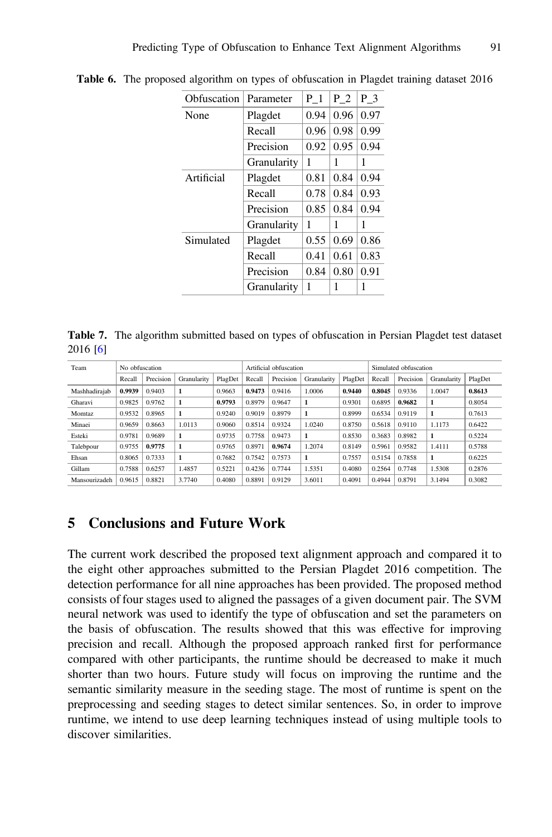| Obfuscation | Parameter   | $P_1$ | P 2  | $P_3$ |
|-------------|-------------|-------|------|-------|
| None        | Plagdet     | 0.94  | 0.96 | 0.97  |
|             | Recall      | 0.96  | 0.98 | 0.99  |
|             | Precision   | 0.92  | 0.95 | 0.94  |
|             | Granularity | 1     | 1    | 1     |
| Artificial  | Plagdet     | 0.81  | 0.84 | 0.94  |
|             | Recall      | 0.78  | 0.84 | 0.93  |
|             | Precision   | 0.85  | 0.84 | 0.94  |
|             | Granularity | 1     | 1    | 1     |
| Simulated   | Plagdet     | 0.55  | 0.69 | 0.86  |
|             | Recall      | 0.41  | 0.61 | 0.83  |
|             | Precision   | 0.84  | 0.80 | 0.91  |
|             | Granularity | 1     | 1    | 1     |

<span id="page-11-0"></span>Table 6. The proposed algorithm on types of obfuscation in Plagdet training dataset 2016

Table 7. The algorithm submitted based on types of obfuscation in Persian Plagdet test dataset 2016 [[6](#page-12-0)]

| Team          | No obfuscation |           |              |         | Artificial obfuscation |           |             |         | Simulated obfuscation |           |             |         |
|---------------|----------------|-----------|--------------|---------|------------------------|-----------|-------------|---------|-----------------------|-----------|-------------|---------|
|               | Recall         | Precision | Granularity  | PlagDet | Recall                 | Precision | Granularity | PlagDet | Recall                | Precision | Granularity | PlagDet |
| Mashhadiraiab | 0.9939         | 0.9403    | 1            | 0.9663  | 0.9473                 | 0.9416    | 1.0006      | 0.9440  | 0.8045                | 0.9336    | 1.0047      | 0.8613  |
| Gharavi       | 0.9825         | 0.9762    | $\mathbf{1}$ | 0.9793  | 0.8979                 | 0.9647    |             | 0.9301  | 0.6895                | 0.9682    |             | 0.8054  |
| Momtaz        | 0.9532         | 0.8965    | $\mathbf{1}$ | 0.9240  | 0.9019                 | 0.8979    | 1           | 0.8999  | 0.6534                | 0.9119    | 1           | 0.7613  |
| Minaei        | 0.9659         | 0.8663    | 1.0113       | 0.9060  | 0.8514                 | 0.9324    | 1.0240      | 0.8750  | 0.5618                | 0.9110    | 1.1173      | 0.6422  |
| Esteki        | 0.9781         | 0.9689    | $\mathbf{1}$ | 0.9735  | 0.7758                 | 0.9473    | 1           | 0.8530  | 0.3683                | 0.8982    | 1           | 0.5224  |
| Talebpour     | 0.9755         | 0.9775    | $\mathbf{1}$ | 0.9765  | 0.8971                 | 0.9674    | 1.2074      | 0.8149  | 0.5961                | 0.9582    | 1.4111      | 0.5788  |
| Ehsan         | 0.8065         | 0.7333    | $\mathbf{1}$ | 0.7682  | 0.7542                 | 0.7573    | 1           | 0.7557  | 0.5154                | 0.7858    | 1           | 0.6225  |
| Gillam        | 0.7588         | 0.6257    | 1.4857       | 0.5221  | 0.4236                 | 0.7744    | 1.5351      | 0.4080  | 0.2564                | 0.7748    | 1.5308      | 0.2876  |
| Mansourizadeh | 0.9615         | 0.8821    | 3.7740       | 0.4080  | 0.8891                 | 0.9129    | 3.6011      | 0.4091  | 0.4944                | 0.8791    | 3.1494      | 0.3082  |

# 5 Conclusions and Future Work

The current work described the proposed text alignment approach and compared it to the eight other approaches submitted to the Persian Plagdet 2016 competition. The detection performance for all nine approaches has been provided. The proposed method consists of four stages used to aligned the passages of a given document pair. The SVM neural network was used to identify the type of obfuscation and set the parameters on the basis of obfuscation. The results showed that this was effective for improving precision and recall. Although the proposed approach ranked first for performance compared with other participants, the runtime should be decreased to make it much shorter than two hours. Future study will focus on improving the runtime and the semantic similarity measure in the seeding stage. The most of runtime is spent on the preprocessing and seeding stages to detect similar sentences. So, in order to improve runtime, we intend to use deep learning techniques instead of using multiple tools to discover similarities.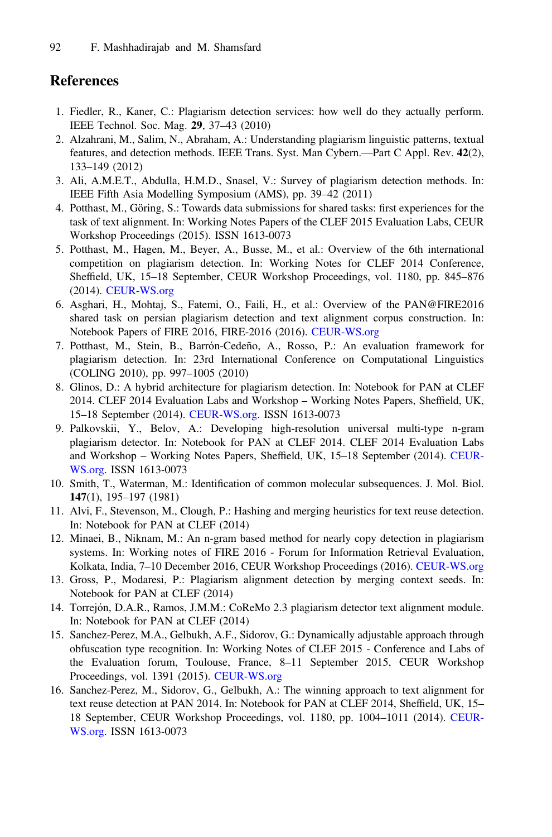# <span id="page-12-0"></span>References

- 1. Fiedler, R., Kaner, C.: Plagiarism detection services: how well do they actually perform. IEEE Technol. Soc. Mag. 29, 37–43 (2010)
- 2. Alzahrani, M., Salim, N., Abraham, A.: Understanding plagiarism linguistic patterns, textual features, and detection methods. IEEE Trans. Syst. Man Cybern.—Part C Appl. Rev. 42(2), 133–149 (2012)
- 3. Ali, A.M.E.T., Abdulla, H.M.D., Snasel, V.: Survey of plagiarism detection methods. In: IEEE Fifth Asia Modelling Symposium (AMS), pp. 39–42 (2011)
- 4. Potthast, M., Göring, S.: Towards data submissions for shared tasks: first experiences for the task of text alignment. In: Working Notes Papers of the CLEF 2015 Evaluation Labs, CEUR Workshop Proceedings (2015). ISSN 1613-0073
- 5. Potthast, M., Hagen, M., Beyer, A., Busse, M., et al.: Overview of the 6th international competition on plagiarism detection. In: Working Notes for CLEF 2014 Conference, Sheffield, UK, 15–18 September, CEUR Workshop Proceedings, vol. 1180, pp. 845–876 (2014). [CEUR-WS.org](http://CEUR-WS.org)
- 6. Asghari, H., Mohtaj, S., Fatemi, O., Faili, H., et al.: Overview of the PAN@FIRE2016 shared task on persian plagiarism detection and text alignment corpus construction. In: Notebook Papers of FIRE 2016, FIRE-2016 (2016). [CEUR-WS.org](http://CEUR-WS.org)
- 7. Potthast, M., Stein, B., Barrón-Cedeño, A., Rosso, P.: An evaluation framework for plagiarism detection. In: 23rd International Conference on Computational Linguistics (COLING 2010), pp. 997–1005 (2010)
- 8. Glinos, D.: A hybrid architecture for plagiarism detection. In: Notebook for PAN at CLEF 2014. CLEF 2014 Evaluation Labs and Workshop – Working Notes Papers, Sheffield, UK, 15–18 September (2014). [CEUR-WS.org.](http://CEUR-WS.org) ISSN 1613-0073
- 9. Palkovskii, Y., Belov, A.: Developing high-resolution universal multi-type n-gram plagiarism detector. In: Notebook for PAN at CLEF 2014. CLEF 2014 Evaluation Labs and Workshop – Working Notes Papers, Sheffield, UK, 15–18 September (2014). [CEUR-](http://CEUR-WS.org)[WS.org.](http://CEUR-WS.org) ISSN 1613-0073
- 10. Smith, T., Waterman, M.: Identification of common molecular subsequences. J. Mol. Biol. 147(1), 195–197 (1981)
- 11. Alvi, F., Stevenson, M., Clough, P.: Hashing and merging heuristics for text reuse detection. In: Notebook for PAN at CLEF (2014)
- 12. Minaei, B., Niknam, M.: An n-gram based method for nearly copy detection in plagiarism systems. In: Working notes of FIRE 2016 - Forum for Information Retrieval Evaluation, Kolkata, India, 7–10 December 2016, CEUR Workshop Proceedings (2016). [CEUR-WS.org](http://CEUR-WS.org)
- 13. Gross, P., Modaresi, P.: Plagiarism alignment detection by merging context seeds. In: Notebook for PAN at CLEF (2014)
- 14. Torrejón, D.A.R., Ramos, J.M.M.: CoReMo 2.3 plagiarism detector text alignment module. In: Notebook for PAN at CLEF (2014)
- 15. Sanchez-Perez, M.A., Gelbukh, A.F., Sidorov, G.: Dynamically adjustable approach through obfuscation type recognition. In: Working Notes of CLEF 2015 - Conference and Labs of the Evaluation forum, Toulouse, France, 8–11 September 2015, CEUR Workshop Proceedings, vol. 1391 (2015). [CEUR-WS.org](http://CEUR-WS.org)
- 16. Sanchez-Perez, M., Sidorov, G., Gelbukh, A.: The winning approach to text alignment for text reuse detection at PAN 2014. In: Notebook for PAN at CLEF 2014, Sheffield, UK, 15– 18 September, CEUR Workshop Proceedings, vol. 1180, pp. 1004–1011 (2014). [CEUR-](http://CEUR-WS.org)[WS.org.](http://CEUR-WS.org) ISSN 1613-0073